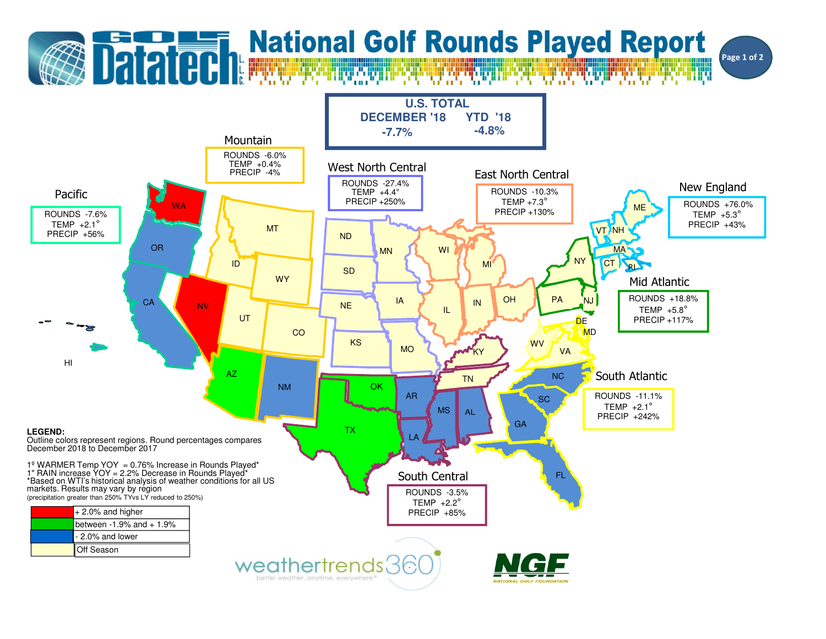## **Datated National Golf Rounds Played Report** Page 1 of 2**U.S. TOTALDECEMBER '18 YTD '18-7.7% -4.8%** Mountain ROUNDS -6.0% TEMP +0.4% PRECIP -4%West North CentralEast North CentralROUNDS -27.4%New EnglandROUNDS -10.3%TEMP  $+4.4^\circ$ PacificTEMP  $+7.3^\circ$  PRECIP +250% ROUNDS +76.0%**WA** ME PRECIP +130%TEMP +5.3°ROUNDS -7.6%TEMP  $+2.1^\circ$  PRECIP +43%MTVT NH PRECIP +56%NDORWI**MA** MNCT NYIDMIRI SD